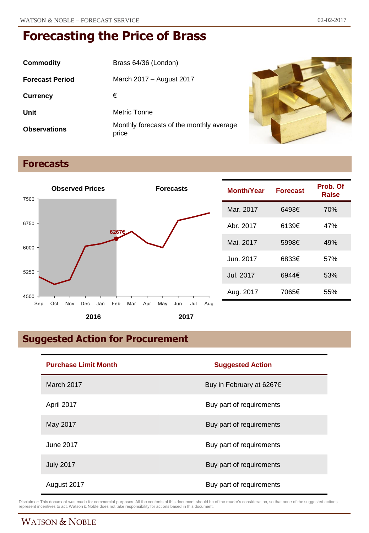| <b>Commodity</b>       | Brass 64/36 (London)                              |
|------------------------|---------------------------------------------------|
| <b>Forecast Period</b> | March 2017 – August 2017                          |
| <b>Currency</b>        | €                                                 |
| Unit                   | Metric Tonne                                      |
| <b>Observations</b>    | Monthly forecasts of the monthly average<br>price |



# **Forecasts**



| <b>Month/Year</b> | <b>Forecast</b> | Prob. Of<br>Raise |
|-------------------|-----------------|-------------------|
| Mar. 2017         | 6493€           | 70%               |
| Abr. 2017         | 6139€           | 47%               |
| Mai. 2017         | 5998€           | 49%               |
| Jun. 2017         | 6833€           | 57%               |
| Jul. 2017         | 6944€           | 53%               |
| Aug. 2017         | 7065€           | 55%               |

# **Suggested Action for Procurement**

| <b>Purchase Limit Month</b> | <b>Suggested Action</b>  |  |
|-----------------------------|--------------------------|--|
| March 2017                  | Buy in February at 6267€ |  |
| April 2017                  | Buy part of requirements |  |
| May 2017                    | Buy part of requirements |  |
| June 2017                   | Buy part of requirements |  |
| <b>July 2017</b>            | Buy part of requirements |  |
| August 2017                 | Buy part of requirements |  |

Disclaimer: This document was made for commercial purposes. All the contents of this document should be of the reader's consideration, so that none of the suggested actions<br>represent incentives to act. Watson & Noble does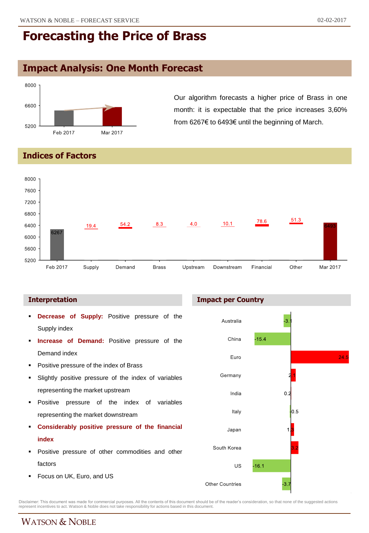# **Impact Analysis: One Month Forecast**



Our algorithm forecasts a higher price of Brass in one month: it is expectable that the price increases 3,60% from 6267€ to 6493€ until the beginning of March.

#### **Indices of Factors**



#### **Interpretation**

- **Decrease of Supply:** Positive pressure of the Supply index
- **Increase of Demand:** Positive pressure of the Demand index
- Positive pressure of the index of Brass
- Slightly positive pressure of the index of variables representing the market upstream
- **Positive pressure of the index of variables** representing the market downstream
- **Considerably positive pressure of the financial index**
- Positive pressure of other commodities and other factors
- **Focus on UK, Euro, and US**

#### **Impact per Country**



Disclaimer: This document was made for commercial purposes. All the contents of this document should be of the reader's consideration, so that none of the suggested actions<br>represent incentives to act. Watson & Noble does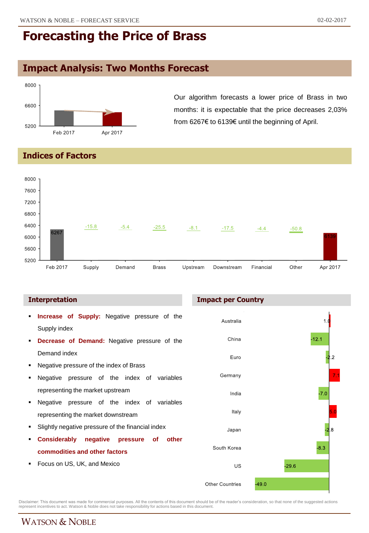# **Impact Analysis: Two Months Forecast**



Our algorithm forecasts a lower price of Brass in two months: it is expectable that the price decreases 2,03% from 6267€ to 6139€ until the beginning of April.

### **Indices of Factors**



- **Increase of Supply:** Negative pressure of the Supply index
- **Decrease of Demand:** Negative pressure of the Demand index
- Negative pressure of the index of Brass
- Negative pressure of the index of variables representing the market upstream
- Negative pressure of the index of variables representing the market downstream
- Slightly negative pressure of the financial index
- **Considerably negative pressure of other commodities and other factors**
- Focus on US, UK, and Mexico

#### **Interpretation Impact per Country**



Disclaimer: This document was made for commercial purposes. All the contents of this document should be of the reader's consideration, so that none of the suggested actions<br>represent incentives to act. Watson & Noble does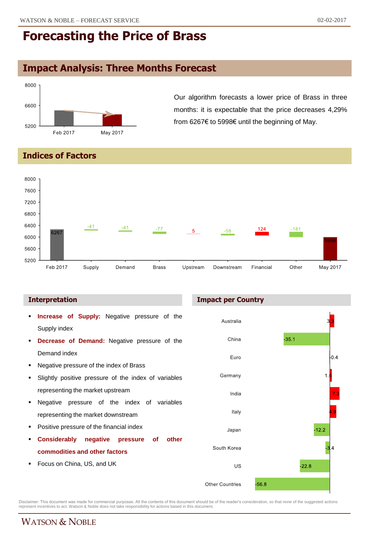# **Impact Analysis: Three Months Forecast**



Our algorithm forecasts a lower price of Brass in three months: it is expectable that the price decreases 4,29% from 6267€ to 5998€ until the beginning of May.

#### **Indices of Factors**



- **Increase of Supply:** Negative pressure of the Supply index
- **Decrease of Demand:** Negative pressure of the Demand index
- Negative pressure of the index of Brass
- Slightly positive pressure of the index of variables representing the market upstream
- Negative pressure of the index of variables representing the market downstream
- Positive pressure of the financial index
- **Considerably negative pressure of other commodities and other factors**
- Focus on China, US, and UK

#### **Interpretation Impact per Country**



Disclaimer: This document was made for commercial purposes. All the contents of this document should be of the reader's consideration, so that none of the suggested actions<br>represent incentives to act. Watson & Noble does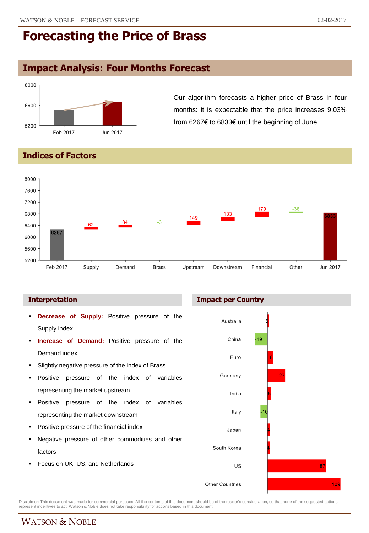# **Impact Analysis: Four Months Forecast**



Our algorithm forecasts a higher price of Brass in four months: it is expectable that the price increases 9,03% from 6267€ to 6833€ until the beginning of June.

#### **Indices of Factors**



#### **Interpretation Impact per Country**

- **Decrease of Supply:** Positive pressure of the Supply index
- **Increase of Demand:** Positive pressure of the Demand index
- Slightly negative pressure of the index of Brass
- Positive pressure of the index of variables representing the market upstream
- **Positive pressure of the index of variables** representing the market downstream
- Positive pressure of the financial index
- Negative pressure of other commodities and other factors
- Focus on UK, US, and Netherlands



Disclaimer: This document was made for commercial purposes. All the contents of this document should be of the reader's consideration, so that none of the suggested actions<br>represent incentives to act. Watson & Noble does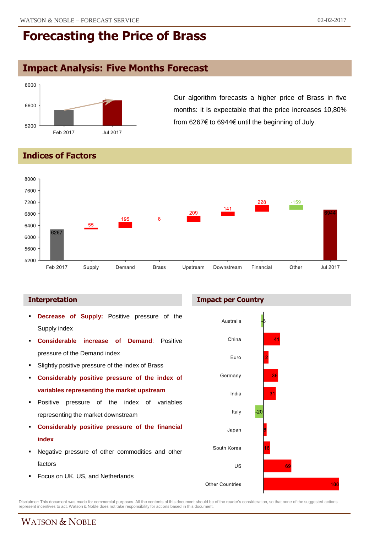# **Impact Analysis: Five Months Forecast**



Our algorithm forecasts a higher price of Brass in five months: it is expectable that the price increases 10,80% from 6267€ to 6944€ until the beginning of July.

### **Indices of Factors**



- **Decrease of Supply:** Positive pressure of the Supply index
- **Considerable increase of Demand**: Positive pressure of the Demand index
- Slightly positive pressure of the index of Brass
- **Considerably positive pressure of the index of variables representing the market upstream**
- **Positive pressure of the index of variables** representing the market downstream
- **Considerably positive pressure of the financial index**
- Negative pressure of other commodities and other factors
- Focus on UK, US, and Netherlands

#### **Interpretation Impact per Country**



Disclaimer: This document was made for commercial purposes. All the contents of this document should be of the reader's consideration, so that none of the suggested actions<br>represent incentives to act. Watson & Noble does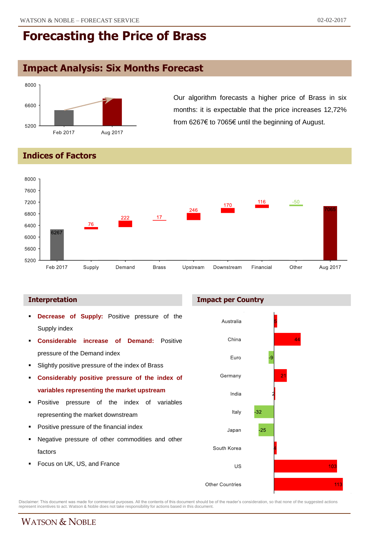# **Impact Analysis: Six Months Forecast**



Our algorithm forecasts a higher price of Brass in six months: it is expectable that the price increases 12,72% from 6267€ to 7065€ until the beginning of August.

### **Indices of Factors**



- **Decrease of Supply:** Positive pressure of the Supply index
- **Considerable increase of Demand:** Positive pressure of the Demand index
- Slightly positive pressure of the index of Brass
- **Considerably positive pressure of the index of variables representing the market upstream**
- **Positive pressure of the index of variables** representing the market downstream
- Positive pressure of the financial index
- Negative pressure of other commodities and other factors
- Focus on UK, US, and France





Disclaimer: This document was made for commercial purposes. All the contents of this document should be of the reader's consideration, so that none of the suggested actions<br>represent incentives to act. Watson & Noble does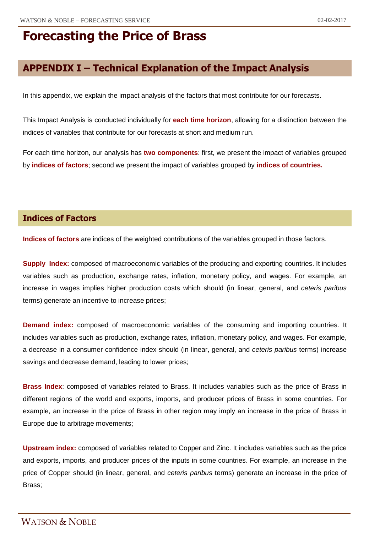## **APPENDIX I – Technical Explanation of the Impact Analysis**

In this appendix, we explain the impact analysis of the factors that most contribute for our forecasts.

This Impact Analysis is conducted individually for **each time horizon**, allowing for a distinction between the indices of variables that contribute for our forecasts at short and medium run.

For each time horizon, our analysis has **two components**: first, we present the impact of variables grouped by **indices of factors**; second we present the impact of variables grouped by **indices of countries.**

### **Indices of Factors**

**Indices of factors** are indices of the weighted contributions of the variables grouped in those factors.

**Supply Index:** composed of macroeconomic variables of the producing and exporting countries. It includes variables such as production, exchange rates, inflation, monetary policy, and wages. For example, an increase in wages implies higher production costs which should (in linear, general, and *ceteris paribus* terms) generate an incentive to increase prices;

**Demand index:** composed of macroeconomic variables of the consuming and importing countries. It includes variables such as production, exchange rates, inflation, monetary policy, and wages. For example, a decrease in a consumer confidence index should (in linear, general, and *ceteris paribus* terms) increase savings and decrease demand, leading to lower prices;

**Brass Index**: composed of variables related to Brass. It includes variables such as the price of Brass in different regions of the world and exports, imports, and producer prices of Brass in some countries. For example, an increase in the price of Brass in other region may imply an increase in the price of Brass in Europe due to arbitrage movements;

**Upstream index:** composed of variables related to Copper and Zinc. It includes variables such as the price and exports, imports, and producer prices of the inputs in some countries. For example, an increase in the price of Copper should (in linear, general, and *ceteris paribus* terms) generate an increase in the price of Brass;